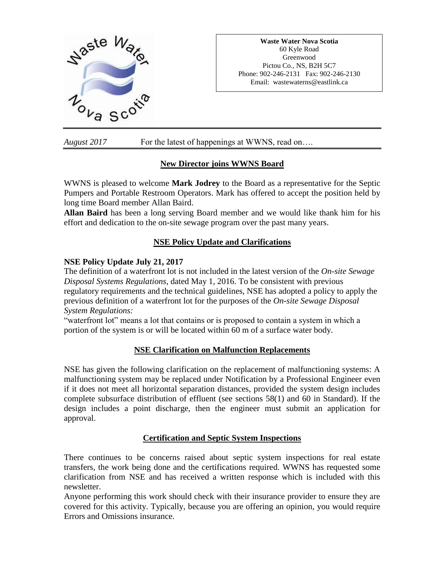

**Waste Water Nova Scotia** 60 Kyle Road Greenwood Pictou Co., NS, B2H 5C7 Phone: 902-246-2131 Fax: 902-246-2130 Email: wastewaterns@eastlink.ca

*August 2017* For the latest of happenings at WWNS, read on….

## **New Director joins WWNS Board**

WWNS is pleased to welcome **Mark Jodrey** to the Board as a representative for the Septic Pumpers and Portable Restroom Operators. Mark has offered to accept the position held by long time Board member Allan Baird.

**Allan Baird** has been a long serving Board member and we would like thank him for his effort and dedication to the on-site sewage program over the past many years.

# **NSE Policy Update and Clarifications**

## **NSE Policy Update July 21, 2017**

The definition of a waterfront lot is not included in the latest version of the *On-site Sewage Disposal Systems Regulations*, dated May 1, 2016. To be consistent with previous regulatory requirements and the technical guidelines, NSE has adopted a policy to apply the previous definition of a waterfront lot for the purposes of the *On-site Sewage Disposal System Regulations:*

"waterfront lot" means a lot that contains or is proposed to contain a system in which a portion of the system is or will be located within 60 m of a surface water body.

#### **NSE Clarification on Malfunction Replacements**

NSE has given the following clarification on the replacement of malfunctioning systems: A malfunctioning system may be replaced under Notification by a Professional Engineer even if it does not meet all horizontal separation distances, provided the system design includes complete subsurface distribution of effluent (see sections 58(1) and 60 in Standard). If the design includes a point discharge, then the engineer must submit an application for approval.

#### **Certification and Septic System Inspections**

There continues to be concerns raised about septic system inspections for real estate transfers, the work being done and the certifications required. WWNS has requested some clarification from NSE and has received a written response which is included with this newsletter.

Anyone performing this work should check with their insurance provider to ensure they are covered for this activity. Typically, because you are offering an opinion, you would require Errors and Omissions insurance.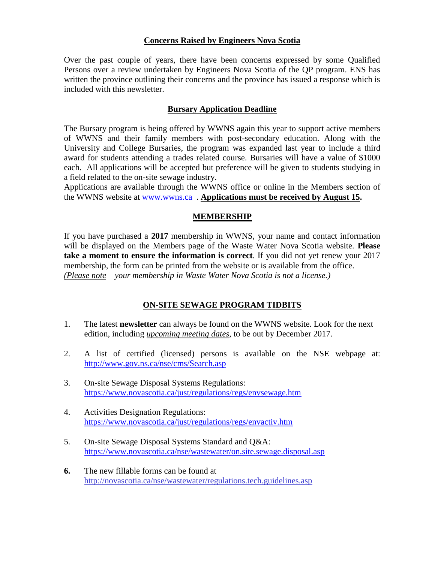### **Concerns Raised by Engineers Nova Scotia**

Over the past couple of years, there have been concerns expressed by some Qualified Persons over a review undertaken by Engineers Nova Scotia of the QP program. ENS has written the province outlining their concerns and the province has issued a response which is included with this newsletter.

### **Bursary Application Deadline**

The Bursary program is being offered by WWNS again this year to support active members of WWNS and their family members with post-secondary education. Along with the University and College Bursaries, the program was expanded last year to include a third award for students attending a trades related course. Bursaries will have a value of \$1000 each. All applications will be accepted but preference will be given to students studying in a field related to the on-site sewage industry.

Applications are available through the WWNS office or online in the Members section of the WWNS website at [www.wwns.ca](http://www.wwns.ca/) . **Applications must be received by August 15.**

### **MEMBERSHIP**

If you have purchased a **2017** membership in WWNS, your name and contact information will be displayed on the Members page of the Waste Water Nova Scotia website. **Please take a moment to ensure the information is correct**. If you did not yet renew your 2017 membership, the form can be printed from the website or is available from the office. *(Please note – your membership in Waste Water Nova Scotia is not a license.)*

## **ON-SITE SEWAGE PROGRAM TIDBITS**

- 1. The latest **newsletter** can always be found on the WWNS website. Look for the next edition, including *upcoming meeting dates*, to be out by December 2017.
- 2. A list of certified (licensed) persons is available on the NSE webpage at: <http://www.gov.ns.ca/nse/cms/Search.asp>
- 3. On-site Sewage Disposal Systems Regulations: <https://www.novascotia.ca/just/regulations/regs/envsewage.htm>
- 4. Activities Designation Regulations: <https://www.novascotia.ca/just/regulations/regs/envactiv.htm>
- 5. On-site Sewage Disposal Systems Standard and Q&A: <https://www.novascotia.ca/nse/wastewater/on.site.sewage.disposal.asp>
- **6.** The new fillable forms can be found at <http://novascotia.ca/nse/wastewater/regulations.tech.guidelines.asp>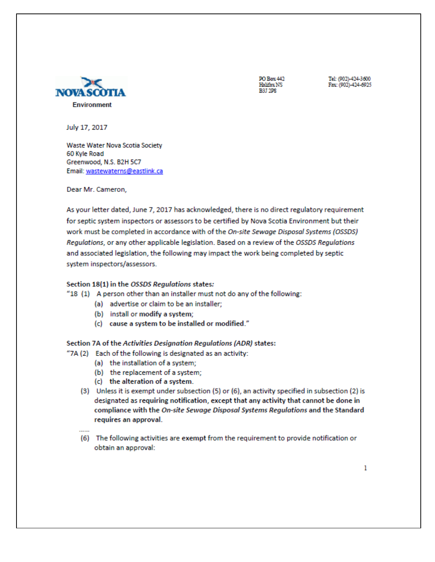

PO Box 442 Halifax NS **B3T 2DR** 

Tel: (902)-424-3600 Fax: (902)-424-6925

July 17, 2017

Waste Water Nova Scotia Society 60 Kvle Road Greenwood, N.S. B2H 5C7 Email: wastewaterns@eastlink.ca

Dear Mr. Cameron,

As your letter dated, June 7, 2017 has acknowledged, there is no direct regulatory requirement for septic system inspectors or assessors to be certified by Nova Scotia Environment but their work must be completed in accordance with of the On-site Sewage Disposal Systems (OSSDS) Regulations, or any other applicable legislation. Based on a review of the OSSDS Regulations and associated legislation, the following may impact the work being completed by septic system inspectors/assessors.

#### Section 18(1) in the OSSDS Regulations states:

#### "18 (1) A person other than an installer must not do any of the following:

- (a) advertise or claim to be an installer;
- (b) install or modify a system;
- (c) cause a system to be installed or modified."

#### Section 7A of the Activities Designation Regulations (ADR) states:

- "7A (2) Each of the following is designated as an activity:
	- (a) the installation of a system;
	- (b) the replacement of a system;
	- (c) the alteration of a system.
	- (3) Unless it is exempt under subsection (5) or (6), an activity specified in subsection (2) is designated as requiring notification, except that any activity that cannot be done in compliance with the On-site Sewage Disposal Systems Regulations and the Standard requires an approval.
	- (6) The following activities are exempt from the requirement to provide notification or obtain an approval: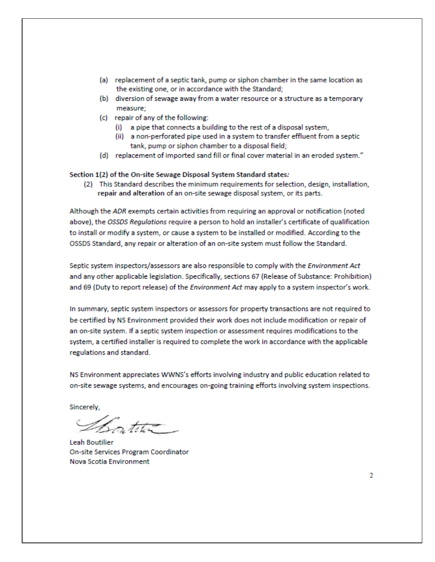- (a) replacement of a septic tank, pump or siphon chamber in the same location as the existing one, or in accordance with the Standard;
- (b) diversion of sewage away from a water resource or a structure as a temporary measure:
- (c) repair of any of the following:
	- (i) a pipe that connects a building to the rest of a disposal system.
	- (ii) a non-perforated pipe used in a system to transfer effluent from a septic tank, pump or siphon chamber to a disposal field;
- (d) replacement of imported sand fill or final cover material in an eroded system."

Section 1(2) of the On-site Sewage Disposal System Standard states:

(2) This Standard describes the minimum requirements for selection, design, installation, repair and alteration of an on-site sewage disposal system, or its parts.

Although the ADR exempts certain activities from requiring an approval or notification (noted above), the OSSDS Regulations require a person to hold an installer's certificate of qualification to install or modify a system, or cause a system to be installed or modified. According to the OSSDS Standard, any repair or alteration of an on-site system must follow the Standard.

Septic system inspectors/assessors are also responsible to comply with the Environment Act and any other applicable legislation. Specifically, sections 67 (Release of Substance: Prohibition) and 69 (Duty to report release) of the Environment Act may apply to a system inspector's work.

In summary, septic system inspectors or assessors for property transactions are not required to be certified by NS Environment provided their work does not include modification or repair of an on-site system. If a septic system inspection or assessment requires modifications to the system, a certified installer is required to complete the work in accordance with the applicable regulations and standard.

NS Environment appreciates WWNS's efforts involving industry and public education related to on-site sewage systems, and encourages on-going training efforts involving system inspections.

Sincerely,

Botite-

Leah Boutilier On-site Services Program Coordinator Nova Scotia Environment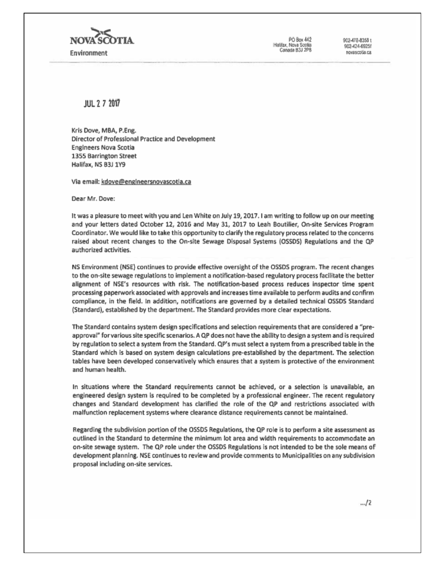

PO Box 442 Halfax, Nova Scolia Canada B3J 2P8 902-478-8358 1 902-424-6925f novascotia.ca

881 7 7 7017

Kris Dove, MBA, P.Eng. Director of Professional Practice and Development Engineers Nova Scotia 1355 Barrington Street Halifax, NS B3J 1Y9

Via email: kdove@engineersnovascotia.ca

Dear Mr. Dove:

It was a pleasure to meet with you and Len White on July 19, 2017. I am writing to follow up on our meeting and your letters dated October 12, 2016 and May 31, 2017 to Leah Boutilier, On-site Services Program Coordinator. We would like to take this opportunity to clarify the regulatory process related to the concerns raised about recent changes to the On-site Sewage Disposal Systems (OSSDS) Regulations and the QP authorized activities.

NS Environment (NSE) continues to provide effective oversight of the OSSDS program. The recent changes to the on-site sewage regulations to implement a notification-based regulatory process facilitate the better alignment of NSE's resources with risk. The notification-based process reduces inspector time spent processing paperwork associated with approvals and increases time available to perform audits and confirm compliance, in the field. In addition, notifications are governed by a detailed technical OSSDS Standard (Standard), established by the department. The Standard provides more clear expectations.

The Standard contains system design specifications and selection requirements that are considered a "preapproval" for various site specific scenarios. A QP does not have the ability to design a system and is required by regulation to select a system from the Standard. QP's must select a system from a prescribed table in the Standard which is based on system design calculations pre-established by the department. The selection tables have been developed conservatively which ensures that a system is protective of the environment and human health.

In situations where the Standard requirements cannot be achieved, or a selection is unavailable, an engineered design system is required to be completed by a professional engineer. The recent regulatory changes and Standard development has clarified the role of the QP and restrictions associated with malfunction replacement systems where clearance distance requirements cannot be maintained.

Regarding the subdivision portion of the OSSDS Regulations, the QP role is to perform a site assessment as outlined in the Standard to determine the minimum lot area and width requirements to accommodate an on-site sewage system. The QP role under the OSSDS Regulations is not intended to be the sole means of development planning. NSE continues to review and provide comments to Municipalities on any subdivision proposal including on-site services.